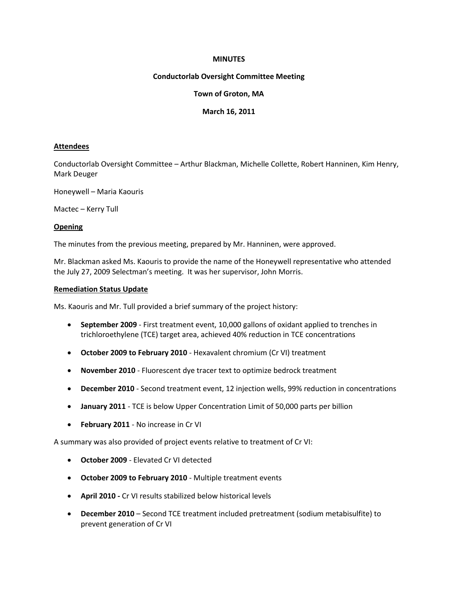#### **MINUTES**

# **Conductorlab Oversight Committee Meeting**

# **Town of Groton, MA**

### **March 16, 2011**

#### **Attendees**

Conductorlab Oversight Committee – Arthur Blackman, Michelle Collette, Robert Hanninen, Kim Henry, Mark Deuger

Honeywell – Maria Kaouris

Mactec – Kerry Tull

### **Opening**

The minutes from the previous meeting, prepared by Mr. Hanninen, were approved.

Mr. Blackman asked Ms. Kaouris to provide the name of the Honeywell representative who attended the July 27, 2009 Selectman's meeting. It was her supervisor, John Morris.

### **Remediation Status Update**

Ms. Kaouris and Mr. Tull provided a brief summary of the project history:

- **September 2009** First treatment event, 10,000 gallons of oxidant applied to trenches in trichloroethylene (TCE) target area, achieved 40% reduction in TCE concentrations
- **October 2009 to February 2010** Hexavalent chromium (Cr VI) treatment
- **November 2010**  Fluorescent dye tracer text to optimize bedrock treatment
- **December 2010**  Second treatment event, 12 injection wells, 99% reduction in concentrations
- **January 2011**  TCE is below Upper Concentration Limit of 50,000 parts per billion
- **February 2011** No increase in Cr VI

A summary was also provided of project events relative to treatment of Cr VI:

- **October 2009**  Elevated Cr VI detected
- **October 2009 to February 2010** Multiple treatment events
- **April 2010 -** Cr VI results stabilized below historical levels
- **December 2010** Second TCE treatment included pretreatment (sodium metabisulfite) to prevent generation of Cr VI